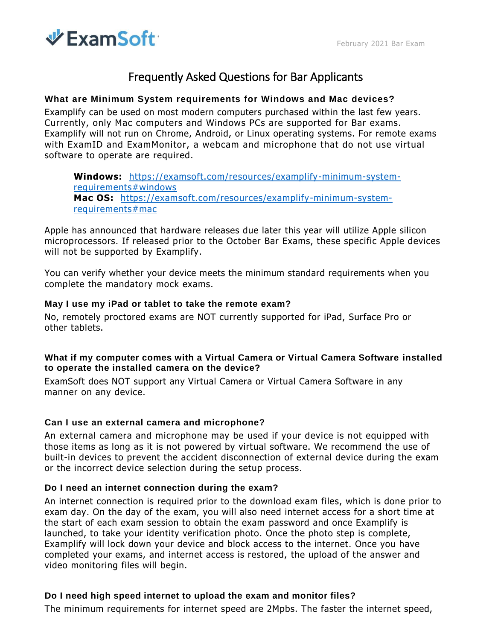

## Frequently Asked Questions for Bar Applicants

#### **What are Minimum System requirements for Windows and Mac devices?**

Examplify can be used on most modern computers purchased within the last few years. Currently, only Mac computers and Windows PCs are supported for Bar exams. Examplify will not run on Chrome, Android, or Linux operating systems. For remote exams with ExamID and ExamMonitor, a webcam and microphone that do not use virtual software to operate are required.

**Windows:** [https://examsoft.com/resources/examplify-minimum-system](https://examsoft.com/resources/examplify-minimum-system-requirements#windows)[requirements#windows](https://examsoft.com/resources/examplify-minimum-system-requirements#windows) **Mac OS:** [https://examsoft.com/resources/examplify-minimum-system](https://examsoft.com/resources/examplify-minimum-system-requirements#mac)[requirements#mac](https://examsoft.com/resources/examplify-minimum-system-requirements#mac)

Apple has announced that hardware releases due later this year will utilize Apple silicon microprocessors. If released prior to the October Bar Exams, these specific Apple devices will not be supported by Examplify.

You can verify whether your device meets the minimum standard requirements when you complete the mandatory mock exams.

#### **May I use my iPad or tablet to take the remote exam?**

No, remotely proctored exams are NOT currently supported for iPad, Surface Pro or other tablets.

#### **What if my computer comes with a Virtual Camera or Virtual Camera Software installed to operate the installed camera on the device?**

ExamSoft does NOT support any Virtual Camera or Virtual Camera Software in any manner on any device.

#### **Can I use an external camera and microphone?**

An external camera and microphone may be used if your device is not equipped with those items as long as it is not powered by virtual software. We recommend the use of built-in devices to prevent the accident disconnection of external device during the exam or the incorrect device selection during the setup process.

#### **Do I need an internet connection during the exam?**

An internet connection is required prior to the download exam files, which is done prior to exam day. On the day of the exam, you will also need internet access for a short time at the start of each exam session to obtain the exam password and once Examplify is launched, to take your identity verification photo. Once the photo step is complete, Examplify will lock down your device and block access to the internet. Once you have completed your exams, and internet access is restored, the upload of the answer and video monitoring files will begin.

#### **Do I need high speed internet to upload the exam and monitor files?**

The minimum requirements for internet speed are 2Mpbs. The faster the internet speed,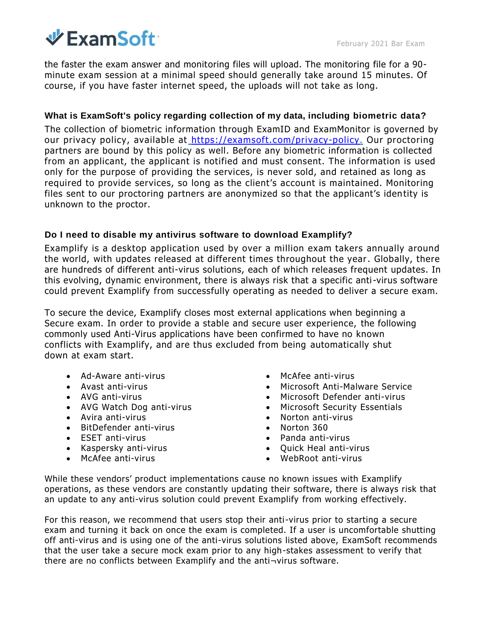# $\Psi$  ExamSoft:

the faster the exam answer and monitoring files will upload. The monitoring file for a 90 minute exam session at a minimal speed should generally take around 15 minutes. Of course, if you have faster internet speed, the uploads will not take as long.

### **What is ExamSoft's policy regarding collection of my data, including biometric data?**

The collection of biometric information through ExamID and ExamMonitor is governed by our privacy policy, available at [https://examsoft.com/privacy-policy.](https://examsoft.com/privacy-policy) Our proctoring partners are bound by this policy as well. Before any biometric information is collected from an applicant, the applicant is notified and must consent. The information is used only for the purpose of providing the services, is never sold, and retained as long as required to provide services, so long as the client's account is maintained. Monitoring files sent to our proctoring partners are anonymized so that the applicant's identity is unknown to the proctor.

#### **Do I need to disable my antivirus software to download Examplify?**

Examplify is a desktop application used by over a million exam takers annually around the world, with updates released at different times throughout the year. Globally, there are hundreds of different anti-virus solutions, each of which releases frequent updates. In this evolving, dynamic environment, there is always risk that a specific anti-virus software could prevent Examplify from successfully operating as needed to deliver a secure exam.

To secure the device, Examplify closes most external applications when beginning a Secure exam. In order to provide a stable and secure user experience, the following commonly used Anti-Virus applications have been confirmed to have no known conflicts with Examplify, and are thus excluded from being automatically shut down at exam start.

- Ad-Aware anti-virus
- Avast anti-virus
- AVG anti-virus
- AVG Watch Dog anti-virus
- Avira anti-virus
- BitDefender anti-virus
- ESET anti-virus
- Kaspersky anti-virus
- McAfee anti-virus
- McAfee anti-virus
- Microsoft Anti-Malware Service
- Microsoft Defender anti-virus
- Microsoft Security Essentials
- Norton anti-virus
- Norton 360
- Panda anti-virus
- Ouick Heal anti-virus
- WebRoot anti-virus

While these vendors' product implementations cause no known issues with Examplify operations, as these vendors are constantly updating their software, there is always risk that an update to any anti-virus solution could prevent Examplify from working effectively.

For this reason, we recommend that users stop their anti-virus prior to starting a secure exam and turning it back on once the exam is completed. If a user is uncomfortable shutting off anti-virus and is using one of the anti-virus solutions listed above, ExamSoft recommends that the user take a secure mock exam prior to any high-stakes assessment to verify that there are no conflicts between Examplify and the anti¬virus software.